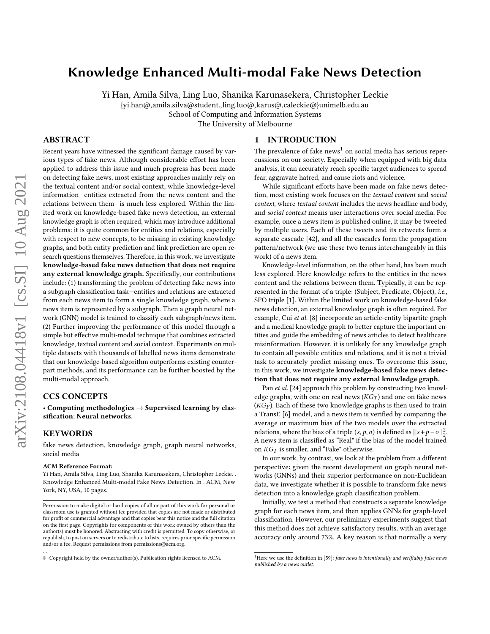# Knowledge Enhanced Multi-modal Fake News Detection

Yi Han, Amila Silva, Ling Luo, Shanika Karunasekera, Christopher Leckie {yi.han@,amila.silva@student.,ling.luo@,karus@,caleckie@}unimelb.edu.au

School of Computing and Information Systems

The University of Melbourne

## ABSTRACT

Recent years have witnessed the significant damage caused by various types of fake news. Although considerable effort has been applied to address this issue and much progress has been made on detecting fake news, most existing approaches mainly rely on the textual content and/or social context, while knowledge-level information—entities extracted from the news content and the relations between them—is much less explored. Within the limited work on knowledge-based fake news detection, an external knowledge graph is often required, which may introduce additional problems: it is quite common for entities and relations, especially with respect to new concepts, to be missing in existing knowledge graphs, and both entity prediction and link prediction are open research questions themselves. Therefore, in this work, we investigate knowledge-based fake news detection that does not require any external knowledge graph. Specifically, our contributions include: (1) transforming the problem of detecting fake news into a subgraph classification task—entities and relations are extracted from each news item to form a single knowledge graph, where a news item is represented by a subgraph. Then a graph neural network (GNN) model is trained to classify each subgraph/news item. (2) Further improving the performance of this model through a simple but effective multi-modal technique that combines extracted knowledge, textual content and social context. Experiments on multiple datasets with thousands of labelled news items demonstrate that our knowledge-based algorithm outperforms existing counterpart methods, and its performance can be further boosted by the multi-modal approach.

# CCS CONCEPTS

• Computing methodologies  $\rightarrow$  Supervised learning by classification; Neural networks.

# **KEYWORDS**

, ,

fake news detection, knowledge graph, graph neural networks, social media

#### ACM Reference Format:

Yi Han, Amila Silva, Ling Luo, Shanika Karunasekera, Christopher Leckie. . Knowledge Enhanced Multi-modal Fake News Detection. In . ACM, New York, NY, USA, [10](#page-9-0) pages.

#### 1 INTRODUCTION

The prevalence of fake news<sup>[1](#page-0-0)</sup> on social media has serious repercussions on our society. Especially when equipped with big data analysis, it can accurately reach specific target audiences to spread fear, aggravate hatred, and cause riots and violence.

While significant efforts have been made on fake news detection, most existing work focuses on the textual content and social context, where textual content includes the news headline and body, and social context means user interactions over social media. For example, once a news item is published online, it may be tweeted by multiple users. Each of these tweets and its retweets form a separate cascade [\[42\]](#page-9-1), and all the cascades form the propagation pattern/network (we use these two terms interchangeably in this work) of a news item.

Knowledge-level information, on the other hand, has been much less explored. Here knowledge refers to the entities in the news content and the relations between them. Typically, it can be represented in the format of a triple: (Subject, Predicate, Object), i.e., SPO triple [\[1\]](#page-8-0). Within the limited work on knowledge-based fake news detection, an external knowledge graph is often required. For example, Cui et al. [\[8\]](#page-8-1) incorporate an article-entity bipartite graph and a medical knowledge graph to better capture the important entities and guide the embedding of news articles to detect healthcare misinformation. However, it is unlikely for any knowledge graph to contain all possible entities and relations, and it is not a trivial task to accurately predict missing ones. To overcome this issue, in this work, we investigate knowledge-based fake news detection that does not require any external knowledge graph.

Pan et al. [\[24\]](#page-9-2) approach this problem by constructing two knowledge graphs, with one on real news  $(KG_T)$  and one on fake news  $(KG_F)$ . Each of these two knowledge graphs is then used to train a TransE [\[6\]](#page-8-2) model, and a news item is verified by comparing the average or maximum bias of the two models over the extracted relations, where the bias of a triple  $(s, p, o)$  is defined as  $||s + p - o||_2^2$ . A news item is classified as "Real" if the bias of the model trained on  $KG_T$  is smaller, and "Fake" otherwise.

In our work, by contrast, we look at the problem from a different perspective: given the recent development on graph neural networks (GNNs) and their superior performance on non-Euclidean data, we investigate whether it is possible to transform fake news detection into a knowledge graph classification problem.

Initially, we test a method that constructs a separate knowledge graph for each news item, and then applies GNNs for graph-level classification. However, our preliminary experiments suggest that this method does not achieve satisfactory results, with an average accuracy only around 73%. A key reason is that normally a very

Permission to make digital or hard copies of all or part of this work for personal or classroom use is granted without fee provided that copies are not made or distributed for profit or commercial advantage and that copies bear this notice and the full citation on the first page. Copyrights for components of this work owned by others than the author(s) must be honored. Abstracting with credit is permitted. To copy otherwise, or republish, to post on servers or to redistribute to lists, requires prior specific permission and/or a fee. Request permissions from permissions@acm.org.

<sup>©</sup> Copyright held by the owner/author(s). Publication rights licensed to ACM.

<span id="page-0-0"></span><sup>&</sup>lt;sup>1</sup>Here we use the definition in [\[59\]](#page-9-3): fake news is intentionally and verifiably false news published by a news outlet.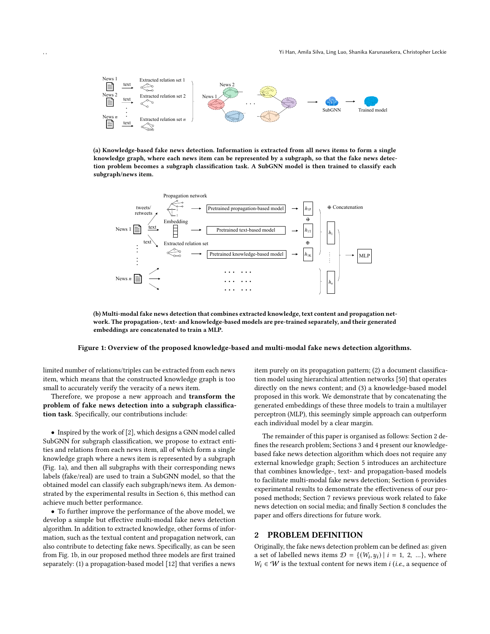<span id="page-1-0"></span>

(a) Knowledge-based fake news detection. Information is extracted from all news items to form a single knowledge graph, where each news item can be represented by a subgraph, so that the fake news detection problem becomes a subgraph classification task. A SubGNN model is then trained to classify each subgraph/news item.



(b) Multi-modal fake news detection that combines extracted knowledge, text content and propagation network. The propagation-, text- and knowledge-based models are pre-trained separately, and their generated embeddings are concatenated to train a MLP.

#### Figure 1: Overview of the proposed knowledge-based and multi-modal fake news detection algorithms.

limited number of relations/triples can be extracted from each news item, which means that the constructed knowledge graph is too small to accurately verify the veracity of a news item.

Therefore, we propose a new approach and transform the problem of fake news detection into a subgraph classification task. Specifically, our contributions include:

• Inspired by the work of [\[2\]](#page-8-3), which designs a GNN model called SubGNN for subgraph classification, we propose to extract entities and relations from each news item, all of which form a single knowledge graph where a news item is represented by a subgraph (Fig. [1a\)](#page-1-0), and then all subgraphs with their corresponding news labels (fake/real) are used to train a SubGNN model, so that the obtained model can classify each subgraph/news item. As demonstrated by the experimental results in Section [6,](#page-5-0) this method can achieve much better performance.

• To further improve the performance of the above model, we develop a simple but effective multi-modal fake news detection algorithm. In addition to extracted knowledge, other forms of information, such as the textual content and propagation network, can also contribute to detecting fake news. Specifically, as can be seen from Fig. [1b,](#page-1-0) in our proposed method three models are first trained separately: (1) a propagation-based model [\[12\]](#page-8-4) that verifies a news

item purely on its propagation pattern; (2) a document classification model using hierarchical attention networks [\[50\]](#page-9-4) that operates directly on the news content; and (3) a knowledge-based model proposed in this work. We demonstrate that by concatenating the generated embeddings of these three models to train a multilayer perceptron (MLP), this seemingly simple approach can outperform each individual model by a clear margin.

The remainder of this paper is organised as follows: Section [2](#page-1-1) defines the research problem; Sections [3](#page-2-0) and [4](#page-4-0) present our knowledgebased fake news detection algorithm which does not require any external knowledge graph; Section [5](#page-5-1) introduces an architecture that combines knowledge-, text- and propagation-based models to facilitate multi-modal fake news detection; Section [6](#page-5-0) provides experimental results to demonstrate the effectiveness of our proposed methods; Section [7](#page-7-0) reviews previous work related to fake news detection on social media; and finally Section [8](#page-8-5) concludes the paper and offers directions for future work.

# <span id="page-1-1"></span>2 PROBLEM DEFINITION

Originally, the fake news detection problem can be defined as: given a set of labelled news items  $\mathcal{D} = \{ (W_i, y_i) | i = 1, 2, ...\}$ , where  $W_i \in W$  is the textual content for news item *i* (*i.e.*, a sequence of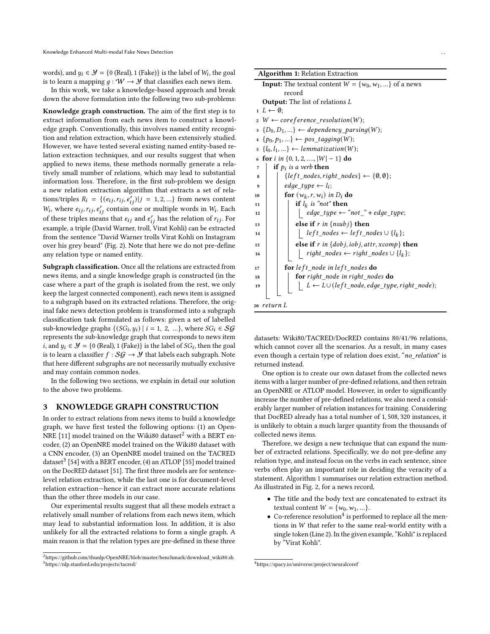words), and  $y_i \in \mathcal{Y} = \{0 \text{ (Real)}, 1 \text{ (Fake)}\}$  is the label of  $W_i$ , the goal is to learn a mapping  $q : W \to Y$  that classifies each news item.

In this work, we take a knowledge-based approach and break down the above formulation into the following two sub-problems:

Knowledge graph construction. The aim of the first step is to extract information from each news item to construct a knowledge graph. Conventionally, this involves named entity recognition and relation extraction, which have been extensively studied. However, we have tested several existing named entity-based relation extraction techniques, and our results suggest that when applied to news items, these methods normally generate a relatively small number of relations, which may lead to substantial information loss. Therefore, in the first sub-problem we design a new relation extraction algorithm that extracts a set of relations/triples  $R_i = \{ (e_{ij}, r_{ij}, e'_{ij}) | j = 1, 2, ...\}$  from news content  $W_i$ , where  $e_{ij}, r_{ij}, e'_{ij}$  contain one or multiple words in  $W_i$ . Each of these triples means that  $e_{ij}$  and  $e'_{ij}$  has the relation of  $r_{ij}$ . For example, a triple (David Warner, troll, Virat Kohli) can be extracted from the sentence "David Warner trolls Virat Kohli on Instagram over his grey beard" (Fig. [2\)](#page-3-0). Note that here we do not pre-define any relation type or named entity.

Subgraph classification. Once all the relations are extracted from news items, and a single knowledge graph is constructed (in the case where a part of the graph is isolated from the rest, we only keep the largest connected component), each news item is assigned to a subgraph based on its extracted relations. Therefore, the original fake news detection problem is transformed into a subgraph classification task formulated as follows: given a set of labelled sub-knowledge graphs  $\{(SG_i, y_i) | i = 1, 2, ...\}$ , where  $SG_i \in \mathcal{SG}$ represents the sub-knowledge graph that corresponds to news item *i*, and  $y_i \in \mathcal{Y} = \{0 \text{ (Real)}, 1 \text{ (Fake)}\}$  is the label of  $SG_i$ , then the goal is to learn a classifier  $f : S \mathcal{G} \rightarrow \mathcal{Y}$  that labels each subgraph. Note that here different subgraphs are not necessarily mutually exclusive and may contain common nodes.

In the following two sections, we explain in detail our solution to the above two problems.

# <span id="page-2-0"></span>3 KNOWLEDGE GRAPH CONSTRUCTION

In order to extract relations from news items to build a knowledge graph, we have first tested the following options: (1) an Open-NRE [\[11\]](#page-8-6) model trained on the Wiki80 dataset<sup>[2](#page-2-1)</sup> with a BERT encoder, (2) an OpenNRE model trained on the Wiki80 dataset with a CNN encoder, (3) an OpenNRE model trained on the TACRED dataset<sup>[3](#page-2-2)</sup> [\[54\]](#page-9-5) with a BERT encoder, (4) an ATLOP [\[55\]](#page-9-6) model trained on the DocRED dataset [\[51\]](#page-9-7). The first three models are for sentencelevel relation extraction, while the last one is for document-level relation extraction—hence it can extract more accurate relations than the other three models in our case.

Our experimental results suggest that all these models extract a relatively small number of relations from each news item, which may lead to substantial information loss. In addition, it is also unlikely for all the extracted relations to form a single graph. A main reason is that the relation types are pre-defined in these three

|                             | <b>Algorithm 1: Relation Extraction</b>                                          |
|-----------------------------|----------------------------------------------------------------------------------|
|                             | <b>Input:</b> The textual content $W = \{w_0, w_1, \}$ of a news                 |
|                             | record                                                                           |
|                             | <b>Output:</b> The list of relations L                                           |
| $1\ L \leftarrow \emptyset$ |                                                                                  |
|                             | $2 \ W \leftarrow coreference\_resolution(W);$                                   |
|                             | $B_3 \{D_0, D_1, \} \leftarrow dependency\_parsing(W);$                          |
|                             | $4 \{p_0, p_1, \} \leftarrow pos\_tagging(W);$                                   |
|                             | $s \{l_0, l_1, \} \leftarrow lemmatization(W);$                                  |
|                             | 6 for i in $\{0, 1, 2, ,  W -1\}$ do                                             |
| 7                           | <b>if</b> $p_i$ is a verb <b>then</b>                                            |
| 8                           | $\{left\_nodes, right\_nodes\} \leftarrow \{\emptyset, \emptyset\};$             |
| 9                           | edge type $\leftarrow$ l <sub>i</sub> :                                          |
| 10                          | for $(w_k, r, w_i)$ in $D_i$ do                                                  |
| 11                          | if $l_k$ is "not" then                                                           |
| 12                          | $edge\_type \leftarrow "not" + edge\_type;$                                      |
| 13                          | else if r in ${nsub}$ then                                                       |
| 14                          | $left\_nodes \leftarrow left\_nodes \cup \{l_k\};$                               |
| 15                          | else if r in $\{dobj, iobj, attr, xcomp\}$ then                                  |
| 16                          | <i>right_nodes</i> ← <i>right_nodes</i> $\cup$ { <i>l</i> <sub><i>k</i></sub> }; |
| 17                          | for left node in left nodes do                                                   |
| 18                          | for right_node in right_nodes do                                                 |
| 19                          | $L \leftarrow L \cup (left\_node, edge\_type, right\_node);$                     |
| 20 return L                 |                                                                                  |

<span id="page-2-3"></span>datasets: Wiki80/TACRED/DocRED contains 80/41/96 relations, which cannot cover all the scenarios. As a result, in many cases even though a certain type of relation does exist, "no\_relation" is returned instead.

One option is to create our own dataset from the collected news items with a larger number of pre-defined relations, and then retrain an OpenNRE or ATLOP model. However, in order to significantly increase the number of pre-defined relations, we also need a considerably larger number of relation instances for training. Considering that DocRED already has a total number of 1, 508, 320 instances, it is unlikely to obtain a much larger quantity from the thousands of collected news items.

Therefore, we design a new technique that can expand the number of extracted relations. Specifically, we do not pre-define any relation type, and instead focus on the verbs in each sentence, since verbs often play an important role in deciding the veracity of a statement. Algorithm [1](#page-2-3) summarises our relation extraction method. As illustrated in Fig. [2,](#page-3-0) for a news record,

- The title and the body text are concatenated to extract its textual content  $W = \{w_0, w_1, ...\}$ .
- $\bullet$  Co-reference resolution<sup>[4](#page-2-4)</sup> is performed to replace all the mentions in  $W$  that refer to the same real-world entity with a single token (Line 2). In the given example, "Kohli" is replaced by "Virat Kohli".

<span id="page-2-2"></span><span id="page-2-1"></span><sup>2</sup>https://github.com/thunlp/OpenNRE/blob/master/benchmark/download\_wiki80.sh <sup>3</sup>https://nlp.stanford.edu/projects/tacred/

<span id="page-2-4"></span><sup>4</sup><https://spacy.io/universe/project/neuralcoref>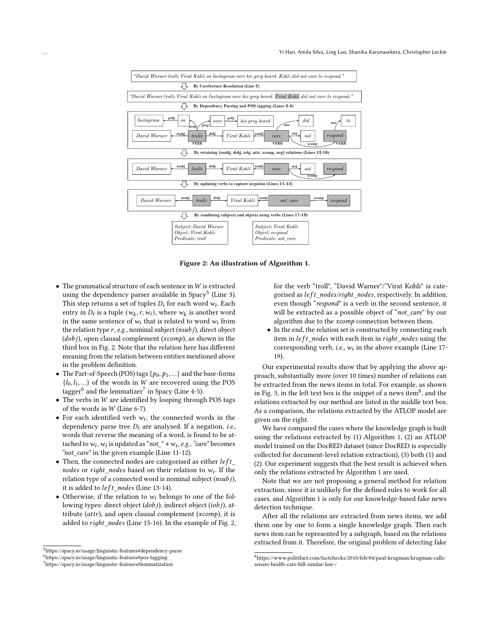<span id="page-3-0"></span>

Figure 2: An illustration of Algorithm [1.](#page-2-3)

- $\bullet$  The grammatical structure of each sentence in  $W$  is extracted using the dependency parser available in Spacy<sup>[5](#page-3-1)</sup> (Line 3). This step returns a set of tuples  $D_i$  for each word  $w_i$ . Each entry in  $D_i$  is a tuple  $(w_k, r, w_i)$ , where  $w_k$  is another word in the same sentence of  $w_i$  that is related to word  $w_i$  from the relation type  $r$ , e.g., nominal subject ( $nsub$ j), direct object  $(dobj)$ , open clausal complement ( $xcomp$ ), as shown in the third box in Fig. [2.](#page-3-0) Note that the relation here has different meaning from the relation between entities mentioned above in the problem definition.
- The Part-of-Speech (POS) tags  $\{p_0, p_1, ...\}$  and the base-forms  ${l_0, l_1, ...}$  of the words in *W* are recovered using the POS tagger $^6$  $^6$  and the lemmatizer $^7$  $^7$  in Spacy (Line 4-5).
- $\bullet$  The verbs in W are identified by looping through POS tags of the words in  $W$  (Line 6-7).
- For each identified verb  $w_i$ , the connected words in the dependency parse tree  $D_i$  are analysed. If a negation, *i.e.*, words that reverse the meaning of a word, is found to be attached to  $w_i$ ,  $w_i$  is updated as " $not_ " + w_i$ , e.g., "care" becomes "not\_care" in the given example (Line 11-12).
- Then, the connected nodes are categorised as either  $left$ nodes or right\_nodes based on their relation to  $w_i$ . If the relation type of a connected word is nominal subject  $(nsubj)$ , it is added to  $left\_nodes$  (Line 13-14).
- Otherwise, if the relation to  $w_i$  belongs to one of the following types: direct object  $(dobi)$ , indirect object  $(iobi)$ , attribute ( $attr$ ), and open clausal complement ( $xcomp$ ), it is added to *right\_nodes* (Line 15-16). In the example of Fig. [2,](#page-3-0)

for the verb "troll", "David Warner"/"Virat Kohli" is categorised as left\_nodes/right\_nodes, respectively. In addition, even though "respond" is a verb in the second sentence, it will be extracted as a possible object of "not\_care" by our algorithm due to the *xcomp* connection between them.

• In the end, the relation set is constructed by connecting each item in  $left$  nodes with each item in  $right$  nodes using the corresponding verb, *i.e.*,  $w_i$  in the above example (Line 17-19).

Our experimental results show that by applying the above approach, substantially more (over 10 times) number of relations can be extracted from the news items in total. For example, as shown in Fig. [3,](#page-4-1) in the left text box is the snippet of a news item<sup>[8](#page-3-4)</sup>, and the relations extracted by our method are listed in the middle text box. As a comparison, the relations extracted by the ATLOP model are given on the right.

We have compared the cases where the knowledge graph is built using the relations extracted by (1) Algorithm [1,](#page-2-3) (2) an ATLOP model trained on the DocRED dataset (since DocRED is especially collected for document-level relation extraction), (3) both (1) and (2). Our experiment suggests that the best result is achieved when only the relations extracted by Algorithm [1](#page-2-3) are used.

Note that we are not proposing a general method for relation extraction, since it is unlikely for the defined rules to work for all cases, and Algorithm [1](#page-2-3) is only for our knowledge-based fake news detection technique.

After all the relations are extracted from news items, we add them one by one to form a single knowledge graph. Then each news item can be represented by a subgraph, based on the relations extracted from it. Therefore, the original problem of detecting fake

<span id="page-3-1"></span> $5$ <https://spacy.io/usage/linguistic-features#dependency-parse>

<span id="page-3-2"></span><sup>6</sup><https://spacy.io/usage/linguistic-features#pos-tagging>

<span id="page-3-3"></span><sup>7</sup><https://spacy.io/usage/linguistic-features#lemmatization>

<span id="page-3-4"></span><sup>8</sup>https://www.politifact.com/factchecks/2010/feb/04/paul-krugman/krugman-callssenate-health-care-bill-similar-law-/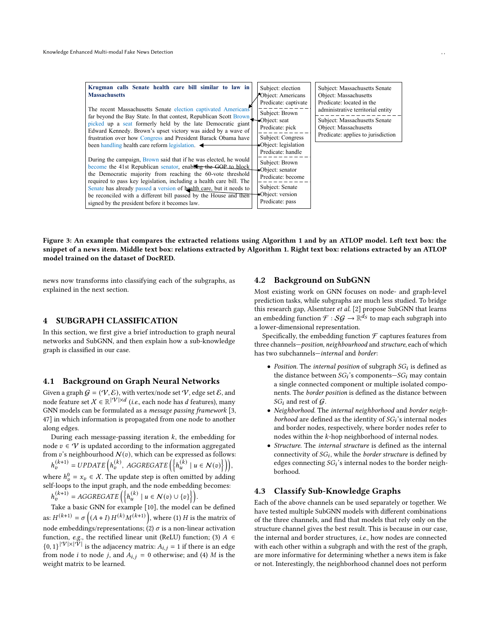<span id="page-4-1"></span>

| Krugman calls Senate health care bill similar to law in<br><b>Massachusetts</b><br>The recent Massachusetts Senate election captivated Americans                                                                                                                                                                                                                                                                     | Subject: election<br>Object: Americans<br>Predicate: captivate<br>Subject: Brown                                       | Subject: Massachusetts Senate<br>Object: Massachusetts<br>Predicate: located in the<br>administrative territorial entity |  |  |
|----------------------------------------------------------------------------------------------------------------------------------------------------------------------------------------------------------------------------------------------------------------------------------------------------------------------------------------------------------------------------------------------------------------------|------------------------------------------------------------------------------------------------------------------------|--------------------------------------------------------------------------------------------------------------------------|--|--|
| far beyond the Bay State. In that contest, Republican Scott Brown<br>picked up a seat formerly held by the late Democratic giant<br>Edward Kennedy. Brown's upset victory was aided by a wave of<br>frustration over how Congress and President Barack Obama have                                                                                                                                                    | $\bullet$ Object: seat<br>Predicate: pick<br>Subject: Congress                                                         | Subject: Massachusetts Senate<br>Object: Massachusetts<br>Predicate: applies to jurisdiction                             |  |  |
| been handling health care reform legislation. $\blacktriangleleft$<br>During the campaign, Brown said that if he was elected, he would<br>become the 41st Republican senator, enabling the GOP to block<br>the Democratic majority from reaching the 60-vote threshold<br>required to pass key legislation, including a health care bill. The<br>Senate has already passed a version of health care, but it needs to | •Object: legislation<br>Predicate: handle<br>Subject: Brown<br>Object: senator<br>Predicate: become<br>Subject: Senate |                                                                                                                          |  |  |
| be reconciled with a different bill passed by the House and then<br>signed by the president before it becomes law.                                                                                                                                                                                                                                                                                                   | •Object: version<br>Predicate: pass                                                                                    |                                                                                                                          |  |  |

Figure 3: An example that compares the extracted relations using Algorithm [1](#page-2-3) and by an ATLOP model. Left text box: the snippet of a news item. Middle text box: relations extracted by Algorithm [1.](#page-2-3) Right text box: relations extracted by an ATLOP model trained on the dataset of DocRED.

news now transforms into classifying each of the subgraphs, as explained in the next section.

# <span id="page-4-0"></span>4 SUBGRAPH CLASSIFICATION

In this section, we first give a brief introduction to graph neural networks and SubGNN, and then explain how a sub-knowledge graph is classified in our case.

## 4.1 Background on Graph Neural Networks

Given a graph  $G = (V, \mathcal{E})$ , with vertex/node set V, edge set  $\mathcal{E}$ , and node feature set  $X \in \mathbb{R}^{|\mathcal{V}| \times d}$  (*i.e.*, each node has *d* features), many GNN models can be formulated as a message passing framework [\[3,](#page-8-7) [47\]](#page-9-8) in which information is propagated from one node to another along edges.

During each message-passing iteration  $k$ , the embedding for node  $v \in \mathcal{V}$  is updated according to the information aggregated from  $v$ 's neighbourhood  $\mathcal{N}(v)$ , which can be expressed as follows:

 $h_v^{(k+1)} = \text{UPDATE}\left(h_v^{(k)}, \text{ AGGREGATE}\left(\left\{h_u^{(k)} \mid u \in \mathcal{N}(v)\right\}\right)\right),$ where  $h_v^0 = x_v \in X$ . The update step is often omitted by adding self-loops to the input graph, and the node embedding becomes:

 $h_v^{(k+1)} = AGGREGATE\left(\left\{h_u^{(k)} \mid u \in \mathcal{N}(v) \cup \{v\}\right\}\right).$ 

Take a basic GNN for example [\[10\]](#page-8-8), the model can be defined as:  $H^{(k+1)} = \sigma((A+I)H^{(k)}M^{(k+1)})$ , where (1) H is the matrix of node embeddings/representations; (2)  $\sigma$  is a non-linear activation function, e.g., the rectified linear unit (ReLU) function; (3)  $A \in$  ${0, 1}^{|\mathcal{V}| \times |\mathcal{V}|}$  is the adjacency matrix:  $A_{i,j} = 1$  if there is an edge from node *i* to node *j*, and  $A_{i,j} = 0$  otherwise; and (4) *M* is the weight matrix to be learned.

## 4.2 Background on SubGNN

Most existing work on GNN focuses on node- and graph-level prediction tasks, while subgraphs are much less studied. To bridge this research gap, Alsentzer et al. [\[2\]](#page-8-3) propose SubGNN that learns an embedding function  $\mathcal{F}: \mathcal{SG} \to \mathbb{R}^{d_S}$  to map each subgraph into a lower-dimensional representation.

Specifically, the embedding function  $\mathcal F$  captures features from three channels—position, neighbourhood and structure, each of which has two subchannels—internal and border:

- Position. The internal position of subgraph  $SG_i$  is defined as the distance between  $SG_i$ 's components- $SG_i$  may contain a single connected component or multiple isolated components. The border position is defined as the distance between  $SG_i$  and rest of  $G$ .
- Neighborhood. The internal neighborhood and border neighborhood are defined as the identity of  $SG_i$ 's internal nodes and border nodes, respectively, where border nodes refer to nodes within the  $k$ -hop neighborhood of internal nodes.
- Structure. The internal structure is defined as the internal connectivity of  $SG_i$ , while the *border structure* is defined by edges connecting  $SG_i$ 's internal nodes to the border neighborhood.

## 4.3 Classify Sub-Knowledge Graphs

Each of the above channels can be used separately or together. We have tested multiple SubGNN models with different combinations of the three channels, and find that models that rely only on the structure channel gives the best result. This is because in our case, the internal and border structures, i.e., how nodes are connected with each other within a subgraph and with the rest of the graph, are more informative for determining whether a news item is fake or not. Interestingly, the neighborhood channel does not perform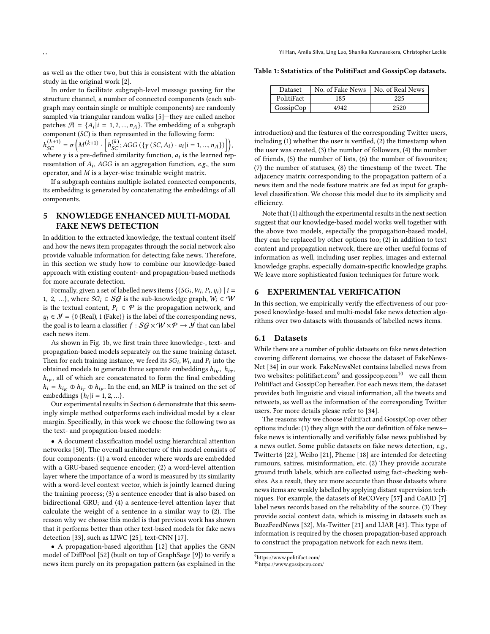Yi Han, Amila Silva, Ling Luo, Shanika Karunasekera, Christopher Leckie

as well as the other two, but this is consistent with the ablation study in the original work [\[2\]](#page-8-3).

In order to facilitate subgraph-level message passing for the structure channel, a number of connected components (each subgraph may contain single or multiple components) are randomly sampled via triangular random walks [\[5\]](#page-8-9)—they are called anchor patches  $\mathcal{A} = \{A_i | i = 1, 2, ..., n_A\}$ . The embedding of a subgraph component  $(SC)$  is then represented in the following form:  $h_{SC}^{(k+1)} = \sigma\left(M^{(k+1)} \cdot \left[h_{SC}^{(k)}; AGG\left(\left\{\gamma\left(SC, A_i\right) \cdot a_i | i = 1, ..., n_A\right\}\right)\right]\right),$ where  $\gamma$  is a pre-defined similarity function,  $a_i$  is the learned representation of  $A_i$ , AGG is an aggregation function, e.g., the sum operator, and  $M$  is a layer-wise trainable weight matrix.

If a subgraph contains multiple isolated connected components, its embedding is generated by concatenating the embeddings of all components.

# <span id="page-5-1"></span>5 KNOWLEDGE ENHANCED MULTI-MODAL FAKE NEWS DETECTION

In addition to the extracted knowledge, the textual content itself and how the news item propagates through the social network also provide valuable information for detecting fake news. Therefore, in this section we study how to combine our knowledge-based approach with existing content- and propagation-based methods for more accurate detection.

Formally, given a set of labelled news items  $\{(SG_i, W_i, P_i, y_i) | i =$ 1, 2, ...}, where  $SG_i \in \mathcal{SG}$  is the sub-knowledge graph,  $W_i \in \mathcal{W}$ is the textual content,  $P_i \in \mathcal{P}$  is the propagation network, and  $y_i \in \mathcal{Y} = \{0 \text{ (Real)}, 1 \text{ (Fake)}\}$  is the label of the corresponding news, the goal is to learn a classifier  $f : \mathcal{SG} \times \mathcal{W} \times \mathcal{P} \rightarrow \mathcal{Y}$  that can label each news item.

As shown in Fig. [1b,](#page-1-0) we first train three knowledge-, text- and propagation-based models separately on the same training dataset. Then for each training instance, we feed its  $SG_i$ ,  $W_i$ , and  $P_i$  into the obtained models to generate three separate embeddings  $h_{i_K}$ ,  $h_{i_T}$ ,  $h_{ip}$ , all of which are concatenated to form the final embedding  $h_i = h_{i_K} \oplus h_{i_T} \oplus h_{i_P}$ . In the end, an MLP is trained on the set of embeddings  $\{h_i | i = 1, 2, ...\}$ .

Our experimental results in Section [6](#page-5-0) demonstrate that this seemingly simple method outperforms each individual model by a clear margin. Specifically, in this work we choose the following two as the text- and propagation-based models:

• A document classification model using hierarchical attention networks [\[50\]](#page-9-4). The overall architecture of this model consists of four components: (1) a word encoder where words are embedded with a GRU-based sequence encoder; (2) a word-level attention layer where the importance of a word is measured by its similarity with a word-level context vector, which is jointly learned during the training process; (3) a sentence encoder that is also based on bidirectional GRU; and (4) a sentence-level attention layer that calculate the weight of a sentence in a similar way to (2). The reason why we choose this model is that previous work has shown that it performs better than other text-based models for fake news detection [\[33\]](#page-9-9), such as LIWC [\[25\]](#page-9-10), text-CNN [\[17\]](#page-9-11).

• A propagation-based algorithm [\[12\]](#page-8-4) that applies the GNN model of DiffPool [\[52\]](#page-9-12) (built on top of GraphSage [\[9\]](#page-8-10)) to verify a news item purely on its propagation pattern (as explained in the

<span id="page-5-4"></span>Table 1: Sstatistics of the PolitiFact and GossipCop datasets.

| Dataset    | No. of Fake News | No. of Real News |
|------------|------------------|------------------|
| PolitiFact | 185              | 225              |
| GossipCop  | 4942             | 2520             |

introduction) and the features of the corresponding Twitter users, including (1) whether the user is verified, (2) the timestamp when the user was created, (3) the number of followers, (4) the number of friends, (5) the number of lists, (6) the number of favourites; (7) the number of statuses, (8) the timestamp of the tweet. The adjacency matrix corresponding to the propagation pattern of a news item and the node feature matrix are fed as input for graphlevel classification. We choose this model due to its simplicity and efficiency.

Note that (1) although the experimental results in the next section suggest that our knowledge-based model works well together with the above two models, especially the propagation-based model, they can be replaced by other options too; (2) in addition to text content and propagation network, there are other useful forms of information as well, including user replies, images and external knowledge graphs, especially domain-specific knowledge graphs. We leave more sophisticated fusion techniques for future work.

#### <span id="page-5-0"></span>6 EXPERIMENTAL VERIFICATION

In this section, we empirically verify the effectiveness of our proposed knowledge-based and multi-modal fake news detection algorithms over two datasets with thousands of labelled news items.

# 6.1 Datasets

While there are a number of public datasets on fake news detection covering different domains, we choose the dataset of FakeNews-Net [\[34\]](#page-9-13) in our work. FakeNewsNet contains labelled news from two websites: politifact.com $^9$  $^9$  and gossipcop.com $^{10} ^{10} ^{10}-$ we call them PolitiFact and GossipCop hereafter. For each news item, the dataset provides both linguistic and visual information, all the tweets and retweets, as well as the information of the corresponding Twitter users. For more details please refer to [\[34\]](#page-9-13).

The reasons why we choose PolitiFact and GossipCop over other options include: (1) they align with the our definition of fake news fake news is intentionally and verifiably false news published by a news outlet. Some public datasets on fake news detection, e.g., Twitter16 [\[22\]](#page-9-14), Weibo [\[21\]](#page-9-15), Pheme [\[18\]](#page-9-16) are intended for detecting rumours, satires, misinformation, etc. (2) They provide accurate ground truth labels, which are collected using fact-checking websites. As a result, they are more accurate than those datasets where news items are weakly labelled by applying distant supervision techniques. For example, the datasets of ReCOVery [\[57\]](#page-9-17) and CoAID [\[7\]](#page-8-11) label news records based on the reliability of the source. (3) They provide social context data, which is missing in datasets such as BuzzFeedNews [\[32\]](#page-9-18), Ma-Twitter [\[21\]](#page-9-15) and LIAR [\[43\]](#page-9-19). This type of information is required by the chosen propagation-based approach to construct the propagation network for each news item.

<span id="page-5-2"></span> $^9$ https://www.politifact.com/

<span id="page-5-3"></span><sup>10</sup>https://www.gossipcop.com/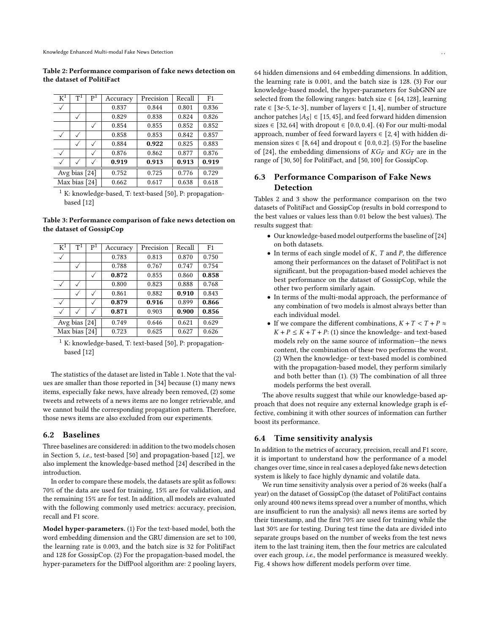Table 2: Performance comparison of fake news detection on the dataset of PolitiFact

<span id="page-6-0"></span>

| $\overline{\mathrm{K}}^1$ | $T^1$        | $\mathsf{P}^1$ | Accuracy | Precision | Recall | F <sub>1</sub> |
|---------------------------|--------------|----------------|----------|-----------|--------|----------------|
|                           |              |                | 0.837    | 0.844     | 0.801  | 0.836          |
|                           | ✓            |                | 0.829    | 0.838     | 0.824  | 0.826          |
|                           |              |                | 0.854    | 0.855     | 0.852  | 0.852          |
|                           |              |                | 0.858    | 0.853     | 0.842  | 0.857          |
|                           |              |                | 0.884    | 0.922     | 0.825  | 0.883          |
| $\checkmark$              |              |                | 0.876    | 0.862     | 0.877  | 0.876          |
|                           | $\checkmark$ |                | 0.919    | 0.913     | 0.913  | 0.919          |
| Avg bias $[24]$           |              | 0.752          | 0.725    | 0.776     | 0.729  |                |
| Max bias [24]             |              | 0.662          | 0.617    | 0.638     | 0.618  |                |

 $^1$  K: knowledge-based, T: text-based [\[50\]](#page-9-4), P: propagationbased [\[12\]](#page-8-4)

Table 3: Performance comparison of fake news detection on the dataset of GossipCop

<span id="page-6-1"></span>

| $\rm K^1$       | $\mathsf{T}^1$ | P <sup>1</sup> | Accuracy | Precision | Recall | F <sub>1</sub> |
|-----------------|----------------|----------------|----------|-----------|--------|----------------|
|                 |                |                | 0.783    | 0.813     | 0.870  | 0.750          |
|                 |                |                | 0.788    | 0.767     | 0.747  | 0.754          |
|                 |                |                | 0.872    | 0.855     | 0.860  | 0.858          |
| $\checkmark$    |                |                | 0.800    | 0.823     | 0.888  | 0.768          |
|                 |                |                | 0.861    | 0.882     | 0.910  | 0.843          |
| $\checkmark$    |                |                | 0.879    | 0.916     | 0.899  | 0.866          |
|                 |                |                | 0.871    | 0.903     | 0.900  | 0.856          |
| Avg bias $[24]$ |                |                | 0.749    | 0.646     | 0.621  | 0.629          |
| Max bias [24]   |                | 0.723          | 0.625    | 0.627     | 0.626  |                |

K: knowledge-based, T: text-based [\[50\]](#page-9-4), P: propagationbased [\[12\]](#page-8-4)

The statistics of the dataset are listed in Table [1.](#page-5-4) Note that the values are smaller than those reported in [\[34\]](#page-9-13) because (1) many news items, especially fake news, have already been removed, (2) some tweets and retweets of a news items are no longer retrievable, and we cannot build the corresponding propagation pattern. Therefore, those news items are also excluded from our experiments.

#### 6.2 Baselines

Three baselines are considered: in addition to the two models chosen in Section [5,](#page-5-1) i.e., test-based [\[50\]](#page-9-4) and propagation-based [\[12\]](#page-8-4), we also implement the knowledge-based method [\[24\]](#page-9-2) described in the introduction.

In order to compare these models, the datasets are split as follows: 70% of the data are used for training, 15% are for validation, and the remaining 15% are for test. In addition, all models are evaluated with the following commonly used metrics: accuracy, precision, recall and F1 score.

Model hyper-parameters. (1) For the text-based model, both the word embedding dimension and the GRU dimension are set to 100, the learning rate is 0.003, and the batch size is 32 for PolitiFact and 128 for GossipCop. (2) For the propagation-based model, the hyper-parameters for the DiffPool algorithm are: 2 pooling layers,

64 hidden dimensions and 64 embedding dimensions. In addition, the learning rate is 0.001, and the batch size is 128. (3) For our knowledge-based model, the hyper-parameters for SubGNN are selected from the following ranges: batch size  $\in$  [64, 128], learning rate  $\in$  [3e-5, 1e-3], number of layers  $\in$  [1, 4], number of structure anchor patches  $|A_S| \in [15, 45]$ , and feed forward hidden dimension sizes  $\in$  [32, 64] with dropout  $\in$  [0.0, 0.4]. (4) For our multi-modal approach, number of feed forward layers  $\in$  [2, 4] with hidden dimension sizes  $\in$  [8, 64] and dropout  $\in$  [0.0, 0.2]. (5) For the baseline of [\[24\]](#page-9-2), the embedding dimensions of  $KG_F$  and  $KG_T$  are in the range of [30, 50] for PolitiFact, and [50, 100] for GossipCop.

# 6.3 Performance Comparison of Fake News Detection

Tables [2](#page-6-0) and [3](#page-6-1) show the performance comparison on the two datasets of PolitiFact and GossipCop (results in bold correspond to the best values or values less than 0.01 below the best values). The results suggest that:

- Our knowledge-based model outperforms the baseline of [\[24\]](#page-9-2) on both datasets.
- In terms of each single model of  $K$ ,  $T$  and  $P$ , the difference among their performances on the dataset of PolitiFact is not significant, but the propagation-based model achieves the best performance on the dataset of GossipCop, while the other two perform similarly again.
- In terms of the multi-modal approach, the performance of any combination of two models is almost always better than each individual model.
- If we compare the different combinations,  $K + T < T + P \approx$  $K + P \leq K + T + P$ : (1) since the knowledge- and text-based models rely on the same source of information—the news content, the combination of these two performs the worst. (2) When the knowledge- or text-based model is combined with the propagation-based model, they perform similarly and both better than (1). (3) The combination of all three models performs the best overall.

The above results suggest that while our knowledge-based approach that does not require any external knowledge graph is effective, combining it with other sources of information can further boost its performance.

#### 6.4 Time sensitivity analysis

In addition to the metrics of accuracy, precision, recall and F1 score, it is important to understand how the performance of a model changes over time, since in real cases a deployed fake news detection system is likely to face highly dynamic and volatile data.

We run time sensitivity analysis over a period of 26 weeks (half a year) on the dataset of GossipCop (the dataset of PolitiFact contains only around 400 news items spread over a number of months, which are insufficient to run the analysis): all news items are sorted by their timestamp, and the first 70% are used for training while the last 30% are for testing. During test time the data are divided into separate groups based on the number of weeks from the test news item to the last training item, then the four metrics are calculated over each group, i.e., the model performance is measured weekly. Fig. [4](#page-7-1) shows how different models perform over time.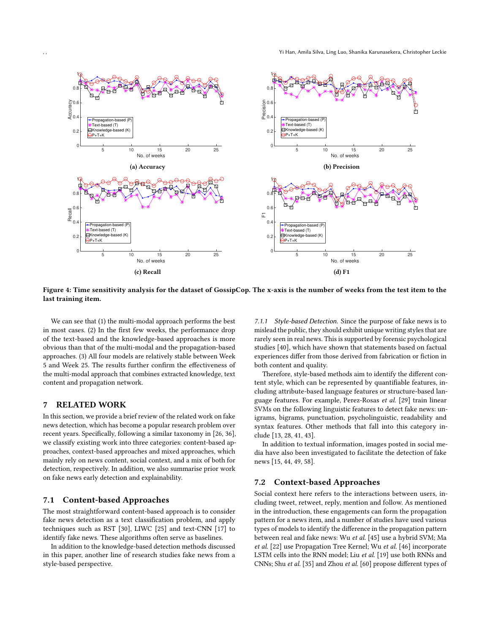<span id="page-7-1"></span>

Figure 4: Time sensitivity analysis for the dataset of GossipCop. The x-axis is the number of weeks from the test item to the last training item.

We can see that (1) the multi-modal approach performs the best in most cases. (2) In the first few weeks, the performance drop of the text-based and the knowledge-based approaches is more obvious than that of the multi-modal and the propagation-based approaches. (3) All four models are relatively stable between Week 5 and Week 25. The results further confirm the effectiveness of the multi-modal approach that combines extracted knowledge, text content and propagation network.

# <span id="page-7-0"></span>7 RELATED WORK

In this section, we provide a brief review of the related work on fake news detection, which has become a popular research problem over recent years. Specifically, following a similar taxonomy in [\[26,](#page-9-20) [36\]](#page-9-21), we classify existing work into three categories: content-based approaches, context-based approaches and mixed approaches, which mainly rely on news content, social context, and a mix of both for detection, respectively. In addition, we also summarise prior work on fake news early detection and explainability.

#### 7.1 Content-based Approaches

The most straightforward content-based approach is to consider fake news detection as a text classification problem, and apply techniques such as RST [\[30\]](#page-9-22), LIWC [\[25\]](#page-9-10) and text-CNN [\[17\]](#page-9-11) to identify fake news. These algorithms often serve as baselines.

In addition to the knowledge-based detection methods discussed in this paper, another line of research studies fake news from a style-based perspective.

7.1.1 Style-based Detection. Since the purpose of fake news is to mislead the public, they should exhibit unique writing styles that are rarely seen in real news. This is supported by forensic psychological studies [\[40\]](#page-9-23), which have shown that statements based on factual experiences differ from those derived from fabrication or fiction in both content and quality.

Therefore, style-based methods aim to identify the different content style, which can be represented by quantifiable features, including attribute-based language features or structure-based language features. For example, Perez-Rosas et al. [\[29\]](#page-9-24) train linear SVMs on the following linguistic features to detect fake news: unigrams, bigrams, punctuation, psycholinguistic, readability and syntax features. Other methods that fall into this category include [\[13,](#page-9-25) [28,](#page-9-26) [41,](#page-9-27) [43\]](#page-9-19).

In addition to textual information, images posted in social media have also been investigated to facilitate the detection of fake news [\[15,](#page-9-28) [44,](#page-9-29) [49,](#page-9-30) [58\]](#page-9-31).

# 7.2 Context-based Approaches

Social context here refers to the interactions between users, including tweet, retweet, reply, mention and follow. As mentioned in the introduction, these engagements can form the propagation pattern for a news item, and a number of studies have used various types of models to identify the difference in the propagation pattern between real and fake news: Wu et al. [\[45\]](#page-9-32) use a hybrid SVM; Ma et al. [\[22\]](#page-9-14) use Propagation Tree Kernel; Wu et al. [\[46\]](#page-9-33) incorporate LSTM cells into the RNN model; Liu et al. [\[19\]](#page-9-34) use both RNNs and CNNs; Shu et al. [\[35\]](#page-9-35) and Zhou et al. [\[60\]](#page-9-36) propose different types of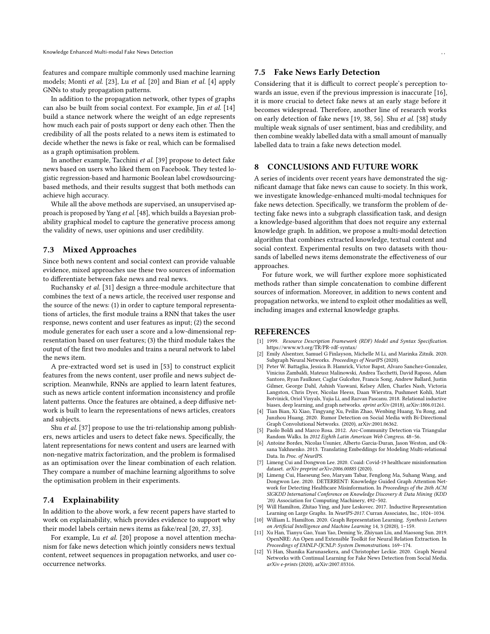features and compare multiple commonly used machine learning models; Monti et al. [\[23\]](#page-9-37), Lu et al. [\[20\]](#page-9-38) and Bian et al. [\[4\]](#page-8-12) apply GNNs to study propagation patterns.

In addition to the propagation network, other types of graphs can also be built from social context. For example, Jin et al. [\[14\]](#page-9-39) build a stance network where the weight of an edge represents how much each pair of posts support or deny each other. Then the credibility of all the posts related to a news item is estimated to decide whether the news is fake or real, which can be formalised as a graph optimisation problem.

In another example, Tacchini et al. [\[39\]](#page-9-40) propose to detect fake news based on users who liked them on Facebook. They tested logistic regression-based and harmonic Boolean label crowdsourcingbased methods, and their results suggest that both methods can achieve high accuracy.

While all the above methods are supervised, an unsupervised approach is proposed by Yang et al. [\[48\]](#page-9-41), which builds a Bayesian probability graphical model to capture the generative process among the validity of news, user opinions and user credibility.

# 7.3 Mixed Approaches

Since both news content and social context can provide valuable evidence, mixed approaches use these two sources of information to differentiate between fake news and real news.

Ruchansky et al. [\[31\]](#page-9-42) design a three-module architecture that combines the text of a news article, the received user response and the source of the news: (1) in order to capture temporal representations of articles, the first module trains a RNN that takes the user response, news content and user features as input; (2) the second module generates for each user a score and a low-dimensional representation based on user features; (3) the third module takes the output of the first two modules and trains a neural network to label the news item.

A pre-extracted word set is used in [\[53\]](#page-9-43) to construct explicit features from the news content, user profile and news subject description. Meanwhile, RNNs are applied to learn latent features, such as news article content information inconsistency and profile latent patterns. Once the features are obtained, a deep diffusive network is built to learn the representations of news articles, creators and subjects.

Shu et al. [\[37\]](#page-9-44) propose to use the tri-relationship among publishers, news articles and users to detect fake news. Specifically, the latent representations for news content and users are learned with non-negative matrix factorization, and the problem is formalised as an optimisation over the linear combination of each relation. They compare a number of machine learning algorithms to solve the optimisation problem in their experiments.

# 7.4 Explainability

In addition to the above work, a few recent papers have started to work on explainability, which provides evidence to support why their model labels certain news items as fake/real [\[20,](#page-9-38) [27,](#page-9-45) [33\]](#page-9-9).

For example, Lu et al. [\[20\]](#page-9-38) propose a novel attention mechanism for fake news detection which jointly considers news textual content, retweet sequences in propagation networks, and user cooccurrence networks.

#### 7.5 Fake News Early Detection

Considering that it is difficult to correct people's perception towards an issue, even if the previous impression is inaccurate [\[16\]](#page-9-46), it is more crucial to detect fake news at an early stage before it becomes widespread. Therefore, another line of research works on early detection of fake news [\[19,](#page-9-34) [38,](#page-9-47) [56\]](#page-9-48). Shu et al. [\[38\]](#page-9-47) study multiple weak signals of user sentiment, bias and credibility, and then combine weakly labelled data with a small amount of manually labelled data to train a fake news detection model.

# <span id="page-8-5"></span>8 CONCLUSIONS AND FUTURE WORK

A series of incidents over recent years have demonstrated the significant damage that fake news can cause to society. In this work, we investigate knowledge-enhanced multi-modal techniques for fake news detection. Specifically, we transform the problem of detecting fake news into a subgraph classification task, and design a knowledge-based algorithm that does not require any external knowledge graph. In addition, we propose a multi-modal detection algorithm that combines extracted knowledge, textual content and social context. Experimental results on two datasets with thousands of labelled news items demonstrate the effectiveness of our approaches.

For future work, we will further explore more sophisticated methods rather than simple concatenation to combine different sources of information. Moreover, in addition to news content and propagation networks, we intend to exploit other modalities as well, including images and external knowledge graphs.

#### REFERENCES

- <span id="page-8-0"></span>[1] 1999. Resource Description Framework (RDF) Model and Syntax Specification. <https://www.w3.org/TR/PR-rdf-syntax/>
- <span id="page-8-3"></span>[2] Emily Alsentzer, Samuel G Finlayson, Michelle M Li, and Marinka Zitnik. 2020. Subgraph Neural Networks. Proceedings of NeurIPS (2020).
- <span id="page-8-7"></span>[3] Peter W. Battaglia, Jessica B. Hamrick, Victor Bapst, Alvaro Sanchez-Gonzalez, Vinicius Zambaldi, Mateusz Malinowski, Andrea Tacchetti, David Raposo, Adam Santoro, Ryan Faulkner, Caglar Gulcehre, Francis Song, Andrew Ballard, Justin Gilmer, George Dahl, Ashish Vaswani, Kelsey Allen, Charles Nash, Victoria Langston, Chris Dyer, Nicolas Heess, Daan Wierstra, Pushmeet Kohli, Matt Botvinick, Oriol Vinyals, Yujia Li, and Razvan Pascanu. 2018. Relational inductive biases, deep learning, and graph networks. eprint arXiv (2018), arXiv:1806.01261.
- <span id="page-8-12"></span>[4] Tian Bian, Xi Xiao, Tingyang Xu, Peilin Zhao, Wenbing Huang, Yu Rong, and Junzhou Huang. 2020. Rumor Detection on Social Media with Bi-Directional Graph Convolutional Networks. (2020), arXiv:2001.06362.
- <span id="page-8-9"></span>[5] Paolo Boldi and Marco Rosa. 2012. Arc-Community Detection via Triangular Random Walks. In 2012 Eighth Latin American Web Congress. 48–56.
- <span id="page-8-2"></span>[6] Antoine Bordes, Nicolas Usunier, Alberto Garcia-Duran, Jason Weston, and Oksana Yakhnenko. 2013. Translating Embeddings for Modeling Multi-relational Data. In Proc. of NeurIPS.
- <span id="page-8-11"></span>Limeng Cui and Dongwon Lee. 2020. Coaid: Covid-19 healthcare misinformation dataset. arXiv preprint arXiv:2006.00885 (2020).
- <span id="page-8-1"></span>[8] Limeng Cui, Haeseung Seo, Maryam Tabar, Fenglong Ma, Suhang Wang, and Dongwon Lee. 2020. DETERRENT: Knowledge Guided Graph Attention Network for Detecting Healthcare Misinformation. In Proceedings of the 26th ACM SIGKDD International Conference on Knowledge Discovery & Data Mining (KDD '20). Association for Computing Machinery, 492–502.
- <span id="page-8-10"></span>[9] Will Hamilton, Zhitao Ying, and Jure Leskovec. 2017. Inductive Representation Learning on Large Graphs. In NeurIPS-2017. Curran Associates, Inc., 1024–1034.
- <span id="page-8-8"></span>[10] William L. Hamilton. 2020. Graph Representation Learning. Synthesis Lectures on Artificial Intelligence and Machine Learning 14, 3 (2020), 1–159.
- <span id="page-8-6"></span>[11] Xu Han, Tianyu Gao, Yuan Yao, Deming Ye, Zhiyuan Liu, and Maosong Sun. 2019. OpenNRE: An Open and Extensible Toolkit for Neural Relation Extraction. In Proceedings of EMNLP-IJCNLP: System Demonstrations. 169–174.
- <span id="page-8-4"></span>[12] Yi Han, Shanika Karunasekera, and Christopher Leckie. 2020. Graph Neural Networks with Continual Learning for Fake News Detection from Social Media. arXiv e-prints (2020), arXiv:2007.03316.